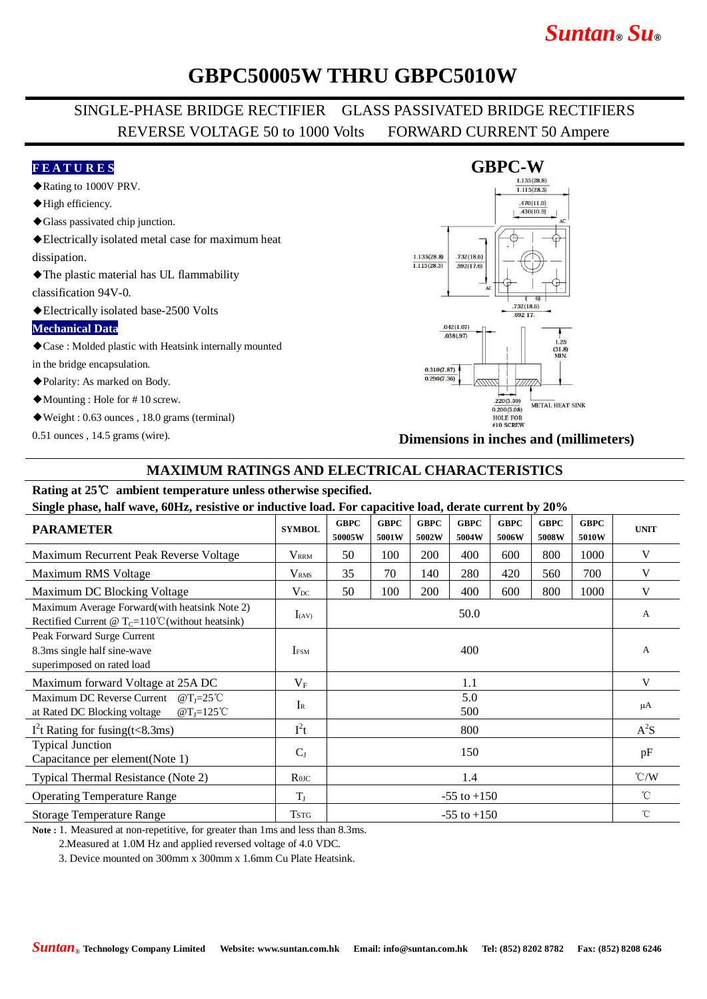# *Suntan***®** *Su***®**

## **GBPC50005W THRU GBPC5010W**

### SINGLE-PHASE BRIDGE RECTIFIER GLASS PASSIVATED BRIDGE RECTIFIERS REVERSE VOLTAGE 50 to 1000 Volts FORWARD CURRENT 50 Ampere

#### **F E A T U R E S**

- ◆Rating to 1000V PRV.
- ◆High efficiency.
- ◆Glass passivated chip junction.
- ◆Electrically isolated metal case for maximum heat dissipation.
- ◆The plastic material has UL flammability

classification 94V-0.

◆Electrically isolated base-2500 Volts

#### **Mechanical Data**

◆Case : Molded plastic with Heatsink internally mounted

in the bridge encapsulation.

◆Polarity: As marked on Body.

◆Mounting : Hole for # 10 screw.

◆Weight : 0.63 ounces , 18.0 grams (terminal)

0.51 ounces , 14.5 grams (wire).



**Dimensions in inches and (millimeters)**

### **MAXIMUM RATINGS AND ELECTRICAL CHARACTERISTICS**

### **Rating at 25**℃ **ambient temperature unless otherwise specified.**

**Single phase, half wave, 60Hz, resistive or inductive load. For capacitive load, derate current by 20%**

| 0                                                                                                                |                         |                       |                      |                      |                      |                      |                      |                      |                         |
|------------------------------------------------------------------------------------------------------------------|-------------------------|-----------------------|----------------------|----------------------|----------------------|----------------------|----------------------|----------------------|-------------------------|
| <b>PARAMETER</b>                                                                                                 | <b>SYMBOL</b>           | <b>GBPC</b><br>50005W | <b>GBPC</b><br>5001W | <b>GBPC</b><br>5002W | <b>GBPC</b><br>5004W | <b>GBPC</b><br>5006W | <b>GBPC</b><br>5008W | <b>GBPC</b><br>5010W | <b>UNIT</b>             |
| Maximum Recurrent Peak Reverse Voltage                                                                           | <b>V</b> <sub>RRM</sub> | 50                    | 100                  | 200                  | 400                  | 600                  | 800                  | 1000                 | V                       |
| Maximum RMS Voltage                                                                                              | V <sub>RMS</sub>        | 35                    | 70                   | 140                  | 280                  | 420                  | 560                  | 700                  | V                       |
| Maximum DC Blocking Voltage                                                                                      | $V_{DC}$                | 50                    | 100                  | 200                  | 400                  | 600                  | 800                  | 1000                 | V                       |
| Maximum Average Forward(with heatsink Note 2)<br>Rectified Current @ $T_c=110^{\circ}$ C (without heatsink)      | $I_{(AV)}$              | 50.0                  |                      |                      |                      |                      |                      |                      | A                       |
| Peak Forward Surge Current<br>8.3ms single half sine-wave<br>superimposed on rated load                          | <b>IFSM</b>             | 400                   |                      |                      |                      |                      |                      |                      | A                       |
| Maximum forward Voltage at 25A DC                                                                                | $V_{\rm F}$             | 1.1                   |                      |                      |                      |                      |                      |                      | V                       |
| Maximum DC Reverse Current $@T_1=25^{\circ}$ C<br>at Rated DC Blocking voltage<br>$\omega$ T <sub>I</sub> =125°C | $I_{R}$                 | 5.0<br>500            |                      |                      |                      |                      |                      |                      | μA                      |
| $I2t$ Rating for fusing(t<8.3ms)                                                                                 | $I^2t$                  | 800                   |                      |                      |                      |                      |                      |                      | $A^2S$                  |
| <b>Typical Junction</b><br>Capacitance per element(Note 1)                                                       | $C_{J}$                 | 150                   |                      |                      |                      |                      |                      |                      | pF                      |
| Typical Thermal Resistance (Note 2)                                                                              | $R$ $\theta$ JC         | 1.4                   |                      |                      |                      |                      |                      |                      | $\mathrm{C}/\mathrm{W}$ |
| <b>Operating Temperature Range</b>                                                                               | $T_{J}$                 | $-55$ to $+150$       |                      |                      |                      |                      |                      |                      | $^{\circ}$ C            |
| <b>Storage Temperature Range</b>                                                                                 | <b>TSTG</b>             | $-55$ to $+150$       |                      |                      |                      |                      |                      |                      | $^{\circ}$ C            |

**Note :** 1. Measured at non-repetitive, for greater than 1ms and less than 8.3ms.

2.Measured at 1.0M Hz and applied reversed voltage of 4.0 VDC.

3. Device mounted on 300mm x 300mm x 1.6mm Cu Plate Heatsink.